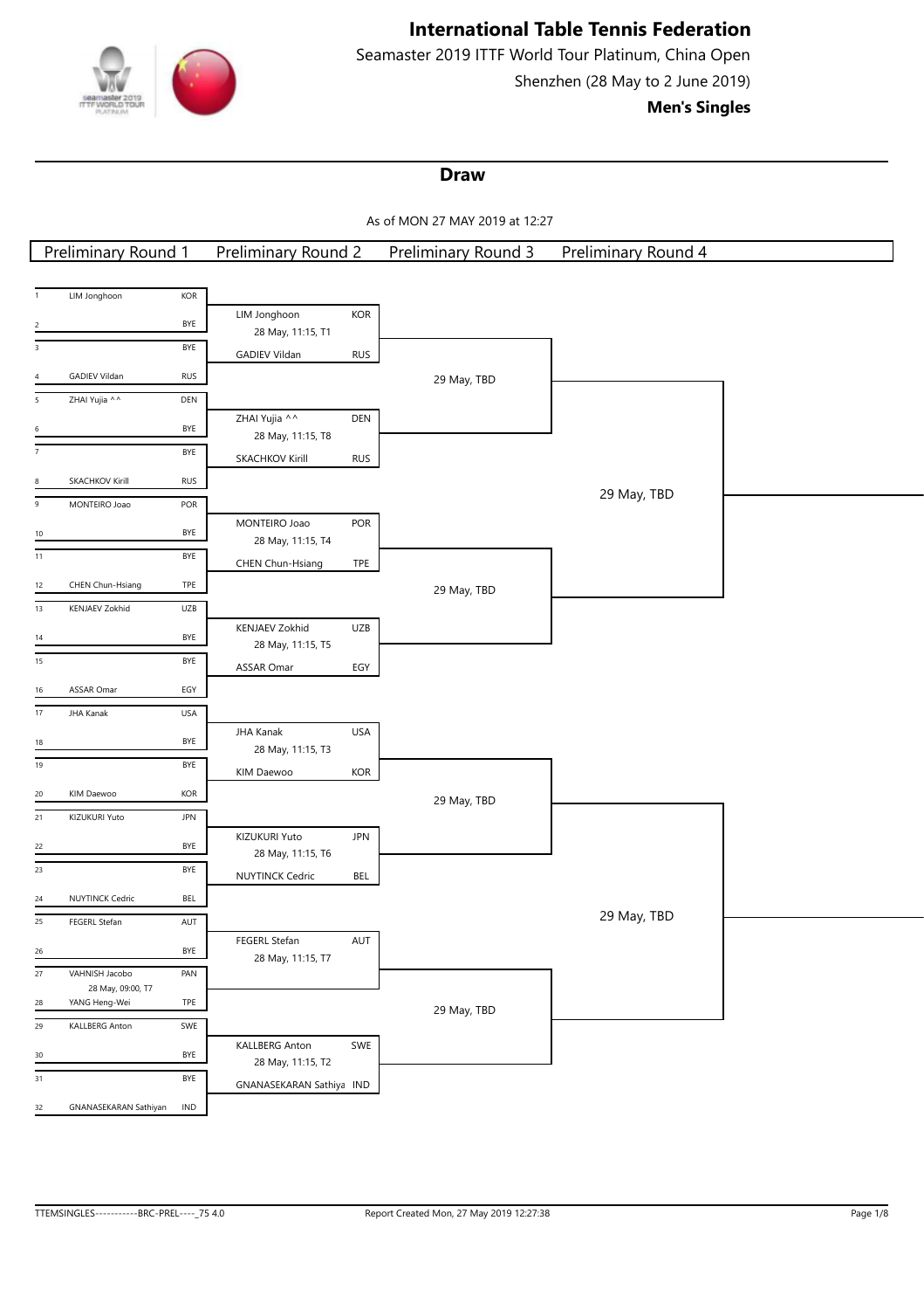

Seamaster 2019 ITTF World Tour Platinum, China Open Shenzhen (28 May to 2 June 2019)

**Men's Singles**

### **Draw**

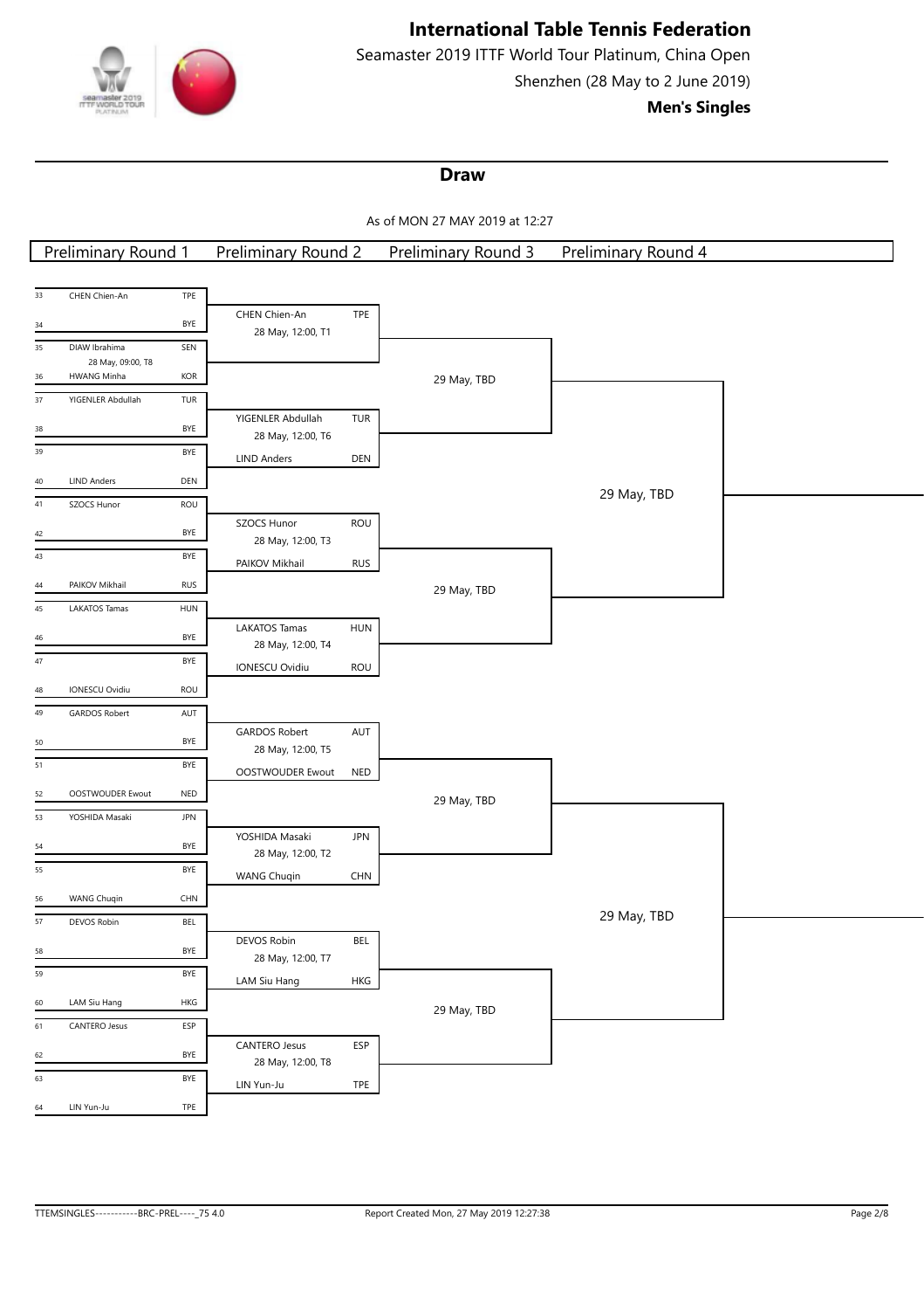

Seamaster 2019 ITTF World Tour Platinum, China Open Shenzhen (28 May to 2 June 2019)

**Men's Singles**

## **Draw**

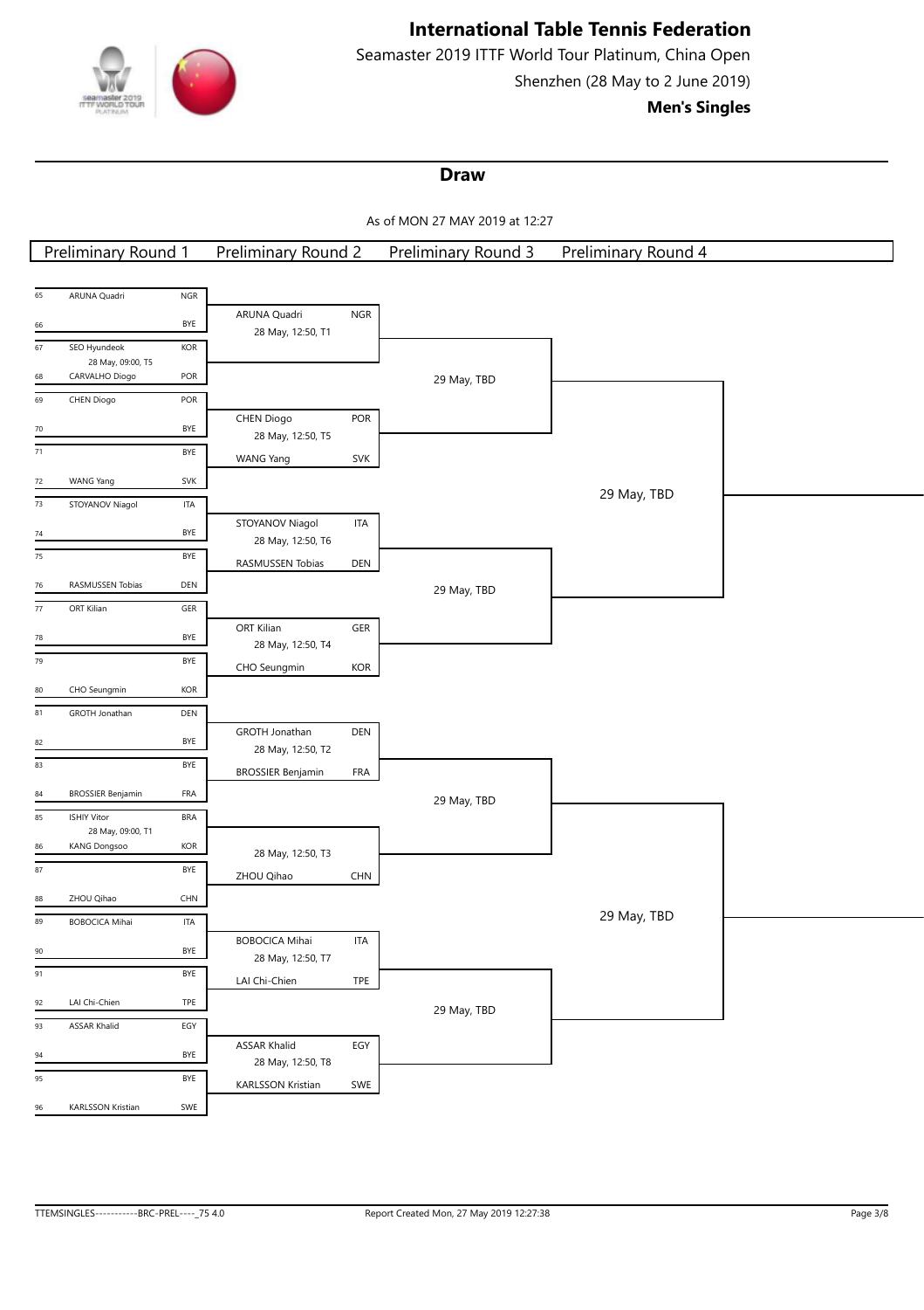

Seamaster 2019 ITTF World Tour Platinum, China Open Shenzhen (28 May to 2 June 2019)

**Men's Singles**

## **Draw**

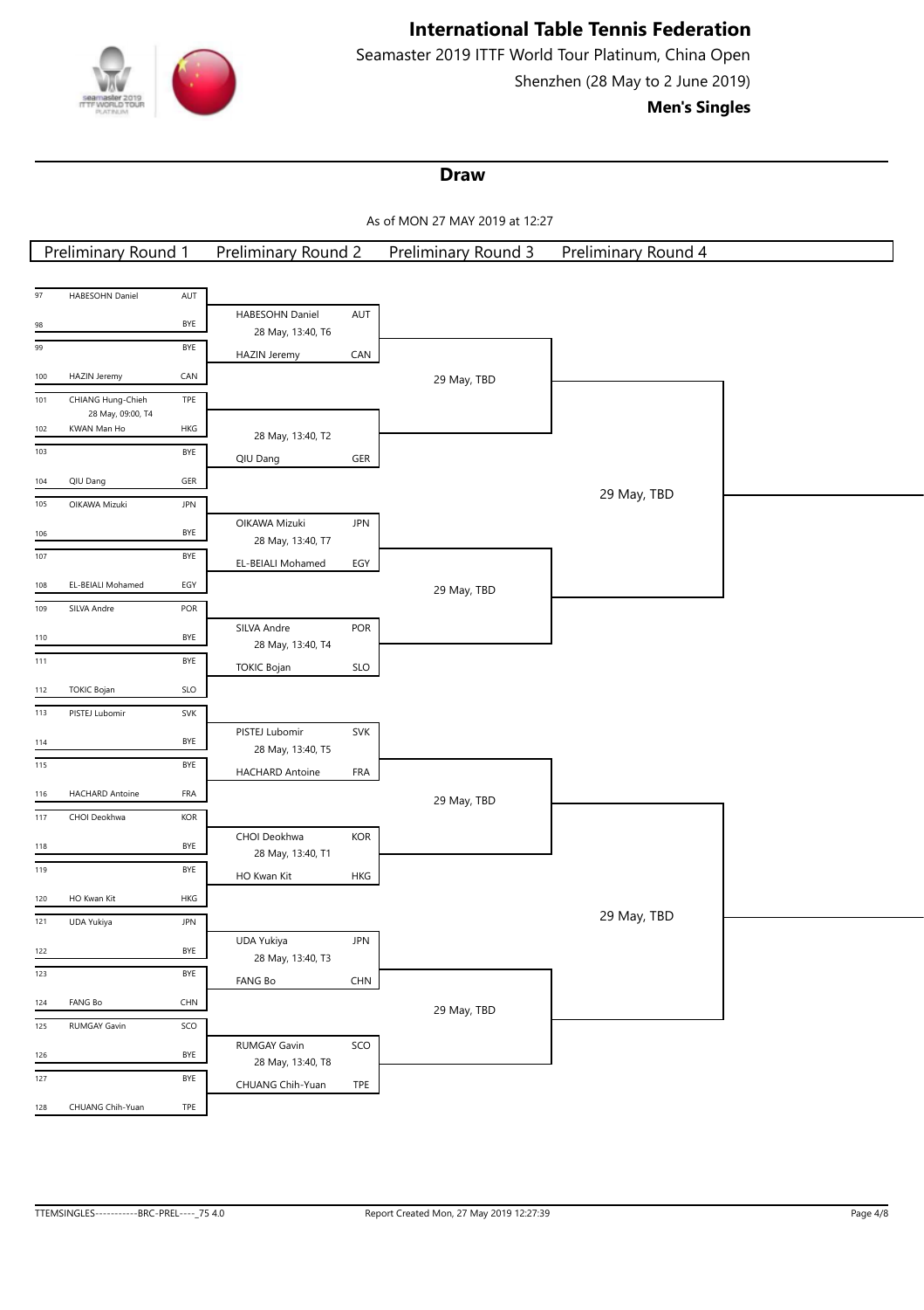

Seamaster 2019 ITTF World Tour Platinum, China Open Shenzhen (28 May to 2 June 2019)

**Men's Singles**

## **Draw**

| <b>Preliminary Round 1</b>                           | <b>Preliminary Round 2</b>                    | <b>Preliminary Round 3</b> | <b>Preliminary Round 4</b> |  |
|------------------------------------------------------|-----------------------------------------------|----------------------------|----------------------------|--|
|                                                      |                                               |                            |                            |  |
| AUT<br>HABESOHN Daniel<br>97                         |                                               |                            |                            |  |
| 98                                                   | HABESOHN Daniel<br>AUT<br>BYE                 |                            |                            |  |
| 99                                                   | 28 May, 13:40, T6<br>BYE                      |                            |                            |  |
|                                                      | HAZIN Jeremy<br>CAN                           |                            |                            |  |
| CAN<br>HAZIN Jeremy<br>100                           |                                               | 29 May, TBD                |                            |  |
| CHIANG Hung-Chieh<br>TPE<br>101<br>28 May, 09:00, T4 |                                               |                            |                            |  |
| KWAN Man Ho<br>HKG<br>102                            | 28 May, 13:40, T2                             |                            |                            |  |
| 103                                                  | BYE<br>${\sf GER}$<br>QIU Dang                |                            |                            |  |
| GER<br>QIU Dang<br>104                               |                                               |                            |                            |  |
| OIKAWA Mizuki<br>JPN<br>105                          |                                               |                            | 29 May, TBD                |  |
| BYE<br>106                                           | OIKAWA Mizuki<br>JPN                          |                            |                            |  |
| 107<br>BYE                                           | 28 May, 13:40, T7                             |                            |                            |  |
|                                                      | EL-BEIALI Mohamed<br>EGY                      |                            |                            |  |
| EL-BEIALI Mohamed<br>EGY<br>108                      |                                               | 29 May, TBD                |                            |  |
| 109<br>POR<br>SILVA Andre                            | POR<br>SILVA Andre                            |                            |                            |  |
| 110                                                  | BYE<br>28 May, 13:40, T4                      |                            |                            |  |
| 111                                                  | BYE<br>SLO<br><b>TOKIC Bojan</b>              |                            |                            |  |
| TOKIC Bojan<br>$\ensuremath{\mathsf{SLO}}$<br>112    |                                               |                            |                            |  |
| 113<br>PISTEJ Lubomir<br>SVK                         |                                               |                            |                            |  |
| 114                                                  | PISTEJ Lubomir<br>SVK<br>BYE                  |                            |                            |  |
| BYE<br>115                                           | 28 May, 13:40, T5                             |                            |                            |  |
| <b>HACHARD Antoine</b><br>FRA<br>116                 | HACHARD Antoine<br>FRA                        |                            |                            |  |
| CHOI Deokhwa<br>117                                  | KOR                                           | 29 May, TBD                |                            |  |
|                                                      | CHOI Deokhwa<br>KOR                           |                            |                            |  |
| 118                                                  | BYE<br>28 May, 13:40, T1                      |                            |                            |  |
| 119                                                  | BYE<br>HO Kwan Kit<br>HKG                     |                            |                            |  |
| HO Kwan Kit<br>HKG<br>120                            |                                               |                            |                            |  |
| 121<br><b>JPN</b><br>UDA Yukiya                      |                                               |                            | 29 May, TBD                |  |
| $\frac{122}{1}$<br>BYE                               | UDA Yukiya<br><b>JPN</b><br>28 May, 13:40, T3 |                            |                            |  |
| BYE<br>123                                           | FANG Bo<br><b>CHN</b>                         |                            |                            |  |
| $\mathsf{CHN}$<br>FANG Bo<br>124                     |                                               |                            |                            |  |
| SCO<br>RUMGAY Gavin<br>125                           |                                               | 29 May, TBD                |                            |  |
|                                                      | SCO<br>RUMGAY Gavin                           |                            |                            |  |
| BYE<br>126                                           | 28 May, 13:40, T8                             |                            |                            |  |
| 127                                                  | BYE<br>CHUANG Chih-Yuan<br>TPE                |                            |                            |  |
| CHUANG Chih-Yuan<br>TPE<br>128                       |                                               |                            |                            |  |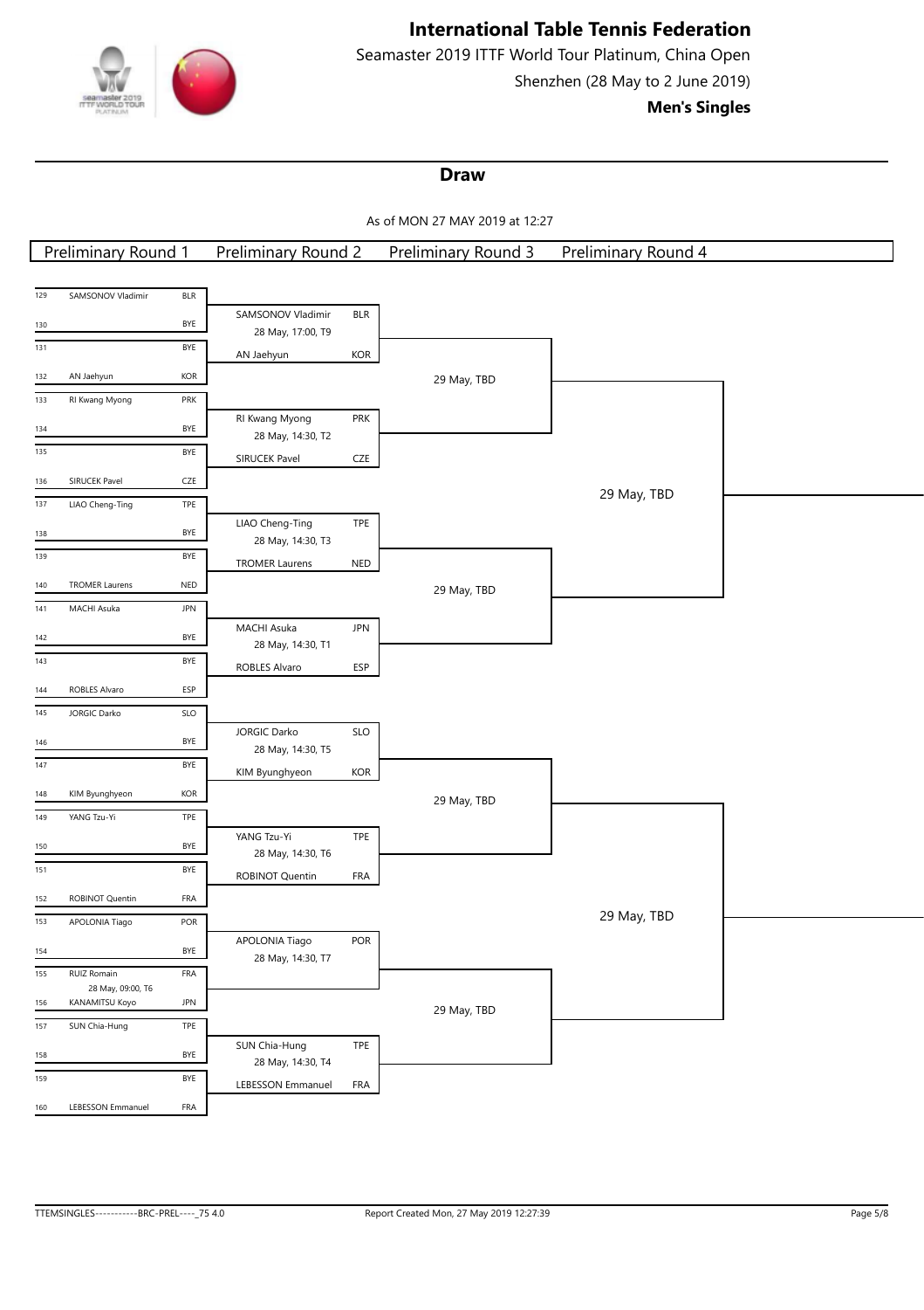

Seamaster 2019 ITTF World Tour Platinum, China Open Shenzhen (28 May to 2 June 2019)

**Men's Singles**

## **Draw**

|                 | <b>Preliminary Round 1</b>          |            | <b>Preliminary Round 2</b>                 |                             | <b>Preliminary Round 3</b> | <u>Preliminary Round 4</u> |  |
|-----------------|-------------------------------------|------------|--------------------------------------------|-----------------------------|----------------------------|----------------------------|--|
|                 |                                     |            |                                            |                             |                            |                            |  |
| 129             | SAMSONOV Vladimir                   | <b>BLR</b> |                                            |                             |                            |                            |  |
| 130             |                                     | BYE        | SAMSONOV Vladimir                          | <b>BLR</b>                  |                            |                            |  |
| 131             |                                     | BYE        | 28 May, 17:00, T9                          |                             |                            |                            |  |
|                 |                                     |            | AN Jaehyun                                 | KOR                         |                            |                            |  |
| 132             | AN Jaehyun                          | KOR        |                                            |                             | 29 May, TBD                |                            |  |
| 133             | RI Kwang Myong                      | PRK        | RI Kwang Myong                             | PRK                         |                            |                            |  |
| 134             |                                     | BYE        | 28 May, 14:30, T2                          |                             |                            |                            |  |
| 135             |                                     | BYE        | SIRUCEK Pavel                              | CZE                         |                            |                            |  |
| 136             | SIRUCEK Pavel                       | CZE        |                                            |                             |                            |                            |  |
| 137             | LIAO Cheng-Ting                     | TPE        |                                            |                             |                            | 29 May, TBD                |  |
| 138             |                                     | BYE        | LIAO Cheng-Ting                            | $\ensuremath{\mathsf{TPE}}$ |                            |                            |  |
| 139             |                                     | BYE        | 28 May, 14:30, T3<br><b>TROMER Laurens</b> |                             |                            |                            |  |
| 140             | <b>TROMER Laurens</b>               | NED        |                                            | NED                         |                            |                            |  |
| 141             | MACHI Asuka                         | JPN        |                                            |                             | 29 May, TBD                |                            |  |
|                 |                                     |            | MACHI Asuka                                | <b>JPN</b>                  |                            |                            |  |
| 142             |                                     | BYE        | 28 May, 14:30, T1                          |                             |                            |                            |  |
| $\frac{1}{143}$ |                                     | BYE        | ROBLES Alvaro                              | ESP                         |                            |                            |  |
| 144             | ROBLES Alvaro                       | ESP        |                                            |                             |                            |                            |  |
| 145             | JORGIC Darko                        | SLO        |                                            |                             |                            |                            |  |
| 146             |                                     | BYE        | JORGIC Darko                               | SLO                         |                            |                            |  |
| 147             |                                     | BYE        | 28 May, 14:30, T5<br>KIM Byunghyeon        | <b>KOR</b>                  |                            |                            |  |
| 148             | KIM Byunghyeon                      | KOR        |                                            |                             |                            |                            |  |
| 149             | YANG Tzu-Yi                         | TPE        |                                            |                             | 29 May, TBD                |                            |  |
|                 |                                     |            | YANG Tzu-Yi                                | TPE                         |                            |                            |  |
| 150             |                                     | BYE        | 28 May, 14:30, T6                          |                             |                            |                            |  |
| 151             |                                     | BYE        | ROBINOT Quentin                            | FRA                         |                            |                            |  |
| 152             | ROBINOT Quentin                     | FRA        |                                            |                             |                            |                            |  |
| 153             | APOLONIA Tiago                      | POR        |                                            |                             |                            | 29 May, TBD                |  |
| 154             |                                     | BYE        | APOLONIA Tiago<br>28 May, 14:30, T7        | POR                         |                            |                            |  |
| 155             | RUIZ Romain                         | FRA        |                                            |                             |                            |                            |  |
| 156             | 28 May, 09:00, T6<br>KANAMITSU Koyo | <b>JPN</b> |                                            |                             |                            |                            |  |
| 157             | SUN Chia-Hung                       | TPE        |                                            |                             | 29 May, TBD                |                            |  |
|                 |                                     |            | SUN Chia-Hung                              | TPE                         |                            |                            |  |
| 158             |                                     | BYE        | 28 May, 14:30, T4                          |                             |                            |                            |  |
| 159             |                                     | BYE        | LEBESSON Emmanuel                          | FRA                         |                            |                            |  |
| 160             | LEBESSON Emmanuel                   | FRA        |                                            |                             |                            |                            |  |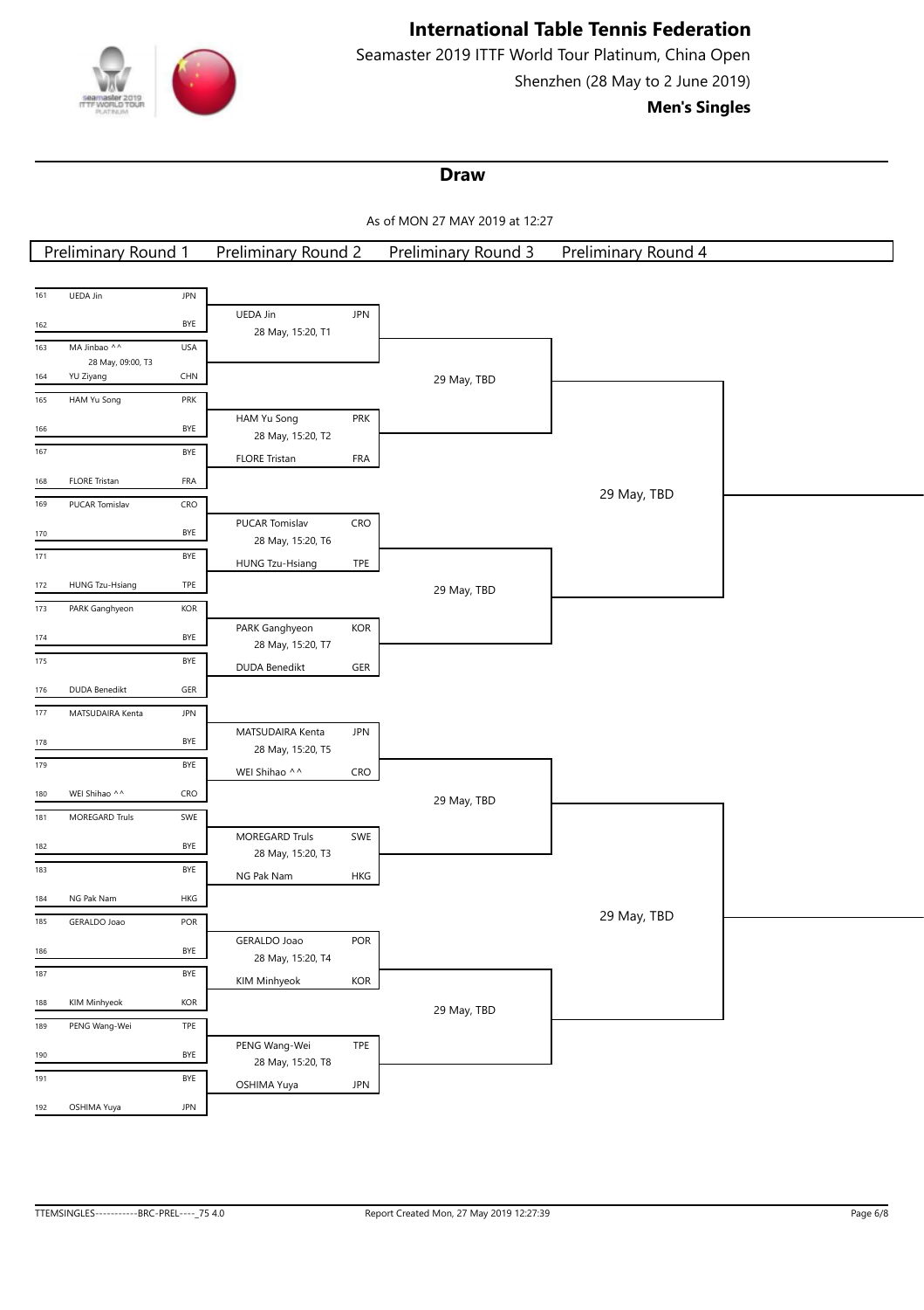

Seamaster 2019 ITTF World Tour Platinum, China Open Shenzhen (28 May to 2 June 2019)

**Men's Singles**

### **Draw**

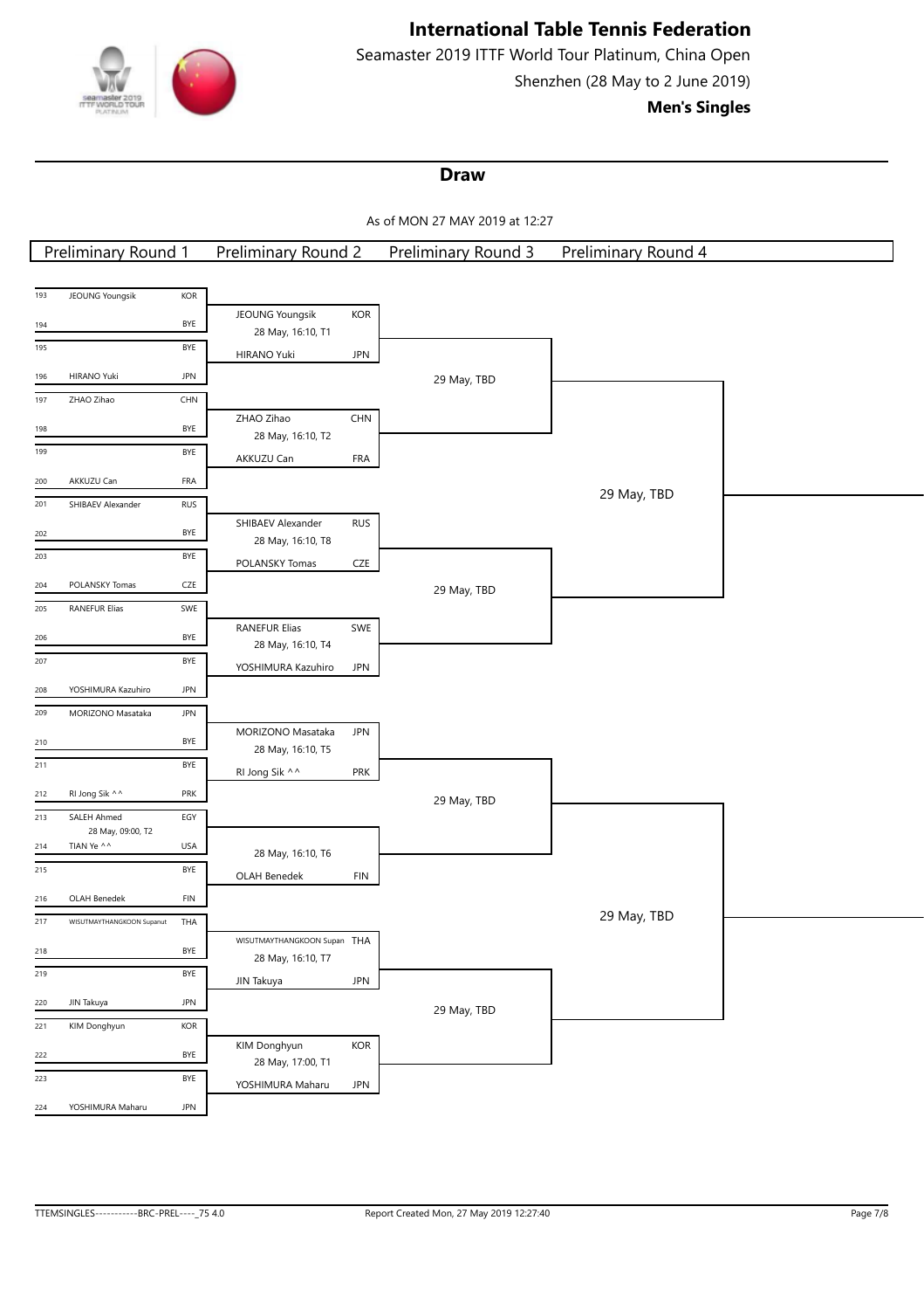

Seamaster 2019 ITTF World Tour Platinum, China Open Shenzhen (28 May to 2 June 2019)

**Men's Singles**

### **Draw**